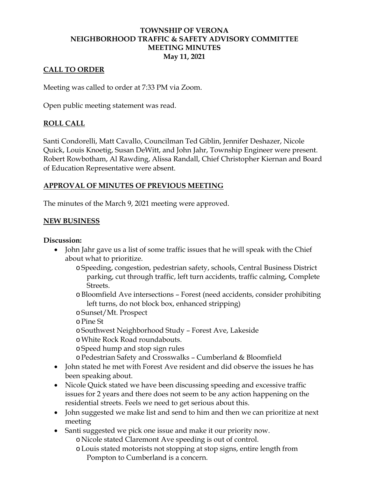#### **TOWNSHIP OF VERONA NEIGHBORHOOD TRAFFIC & SAFETY ADVISORY COMMITTEE MEETING MINUTES May 11, 2021**

## **CALL TO ORDER**

Meeting was called to order at 7:33 PM via Zoom.

Open public meeting statement was read.

## **ROLL CALL**

Santi Condorelli, Matt Cavallo, Councilman Ted Giblin, Jennifer Deshazer, Nicole Quick, Louis Knoetig, Susan DeWitt, and John Jahr, Township Engineer were present. Robert Rowbotham, Al Rawding, Alissa Randall, Chief Christopher Kiernan and Board of Education Representative were absent.

## **APPROVAL OF MINUTES OF PREVIOUS MEETING**

The minutes of the March 9, 2021 meeting were approved.

#### **NEW BUSINESS**

#### **Discussion:**

- John Jahr gave us a list of some traffic issues that he will speak with the Chief about what to prioritize.
	- o Speeding, congestion, pedestrian safety, schools, Central Business District parking, cut through traffic, left turn accidents, traffic calming, Complete Streets.
	- oBloomfield Ave intersections Forest (need accidents, consider prohibiting left turns, do not block box, enhanced stripping)
	- oSunset/Mt. Prospect
	- oPine St
	- oSouthwest Neighborhood Study Forest Ave, Lakeside
	- oWhite Rock Road roundabouts.
	- o Speed hump and stop sign rules
	- oPedestrian Safety and Crosswalks Cumberland & Bloomfield
- John stated he met with Forest Ave resident and did observe the issues he has been speaking about.
- Nicole Quick stated we have been discussing speeding and excessive traffic issues for 2 years and there does not seem to be any action happening on the residential streets. Feels we need to get serious about this.
- John suggested we make list and send to him and then we can prioritize at next meeting
- Santi suggested we pick one issue and make it our priority now. o Nicole stated Claremont Ave speeding is out of control.
	- oLouis stated motorists not stopping at stop signs, entire length from Pompton to Cumberland is a concern.